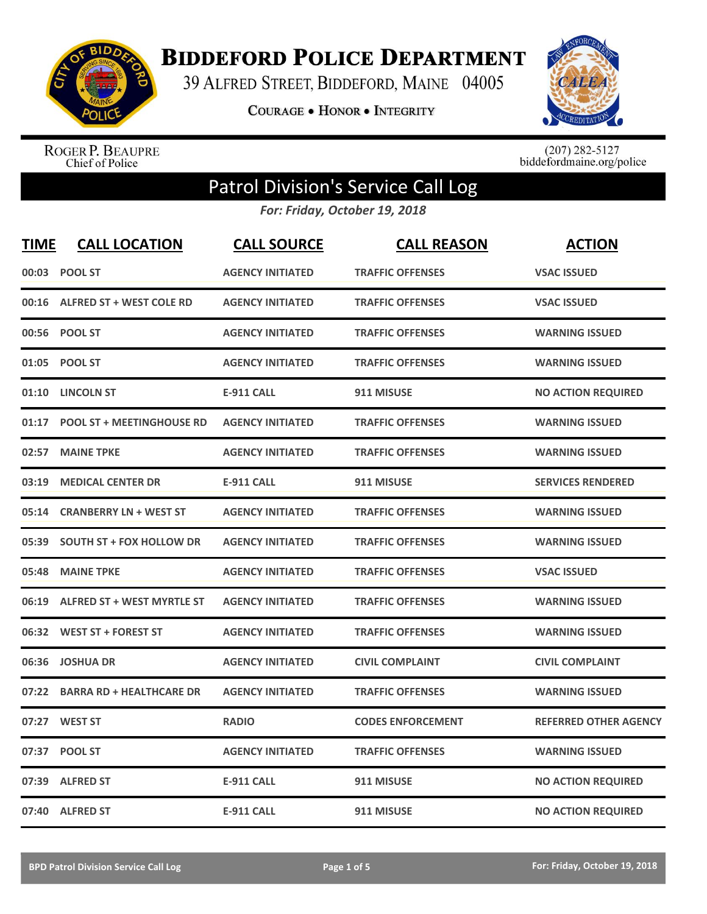

**BIDDEFORD POLICE DEPARTMENT** 

39 ALFRED STREET, BIDDEFORD, MAINE 04005

COURAGE . HONOR . INTEGRITY



ROGER P. BEAUPRE<br>Chief of Police

 $(207)$  282-5127<br>biddefordmaine.org/police

## Patrol Division's Service Call Log

*For: Friday, October 19, 2018*

| <b>TIME</b> | <b>CALL LOCATION</b>              | <b>CALL SOURCE</b>      | <b>CALL REASON</b>       | <b>ACTION</b>                |
|-------------|-----------------------------------|-------------------------|--------------------------|------------------------------|
|             | 00:03 POOL ST                     | <b>AGENCY INITIATED</b> | <b>TRAFFIC OFFENSES</b>  | <b>VSAC ISSUED</b>           |
|             | 00:16 ALFRED ST + WEST COLE RD    | <b>AGENCY INITIATED</b> | <b>TRAFFIC OFFENSES</b>  | <b>VSAC ISSUED</b>           |
| 00:56       | <b>POOL ST</b>                    | <b>AGENCY INITIATED</b> | <b>TRAFFIC OFFENSES</b>  | <b>WARNING ISSUED</b>        |
| 01:05       | <b>POOL ST</b>                    | <b>AGENCY INITIATED</b> | <b>TRAFFIC OFFENSES</b>  | <b>WARNING ISSUED</b>        |
| 01:10       | <b>LINCOLN ST</b>                 | <b>E-911 CALL</b>       | 911 MISUSE               | <b>NO ACTION REQUIRED</b>    |
| 01:17       | <b>POOL ST + MEETINGHOUSE RD</b>  | <b>AGENCY INITIATED</b> | <b>TRAFFIC OFFENSES</b>  | <b>WARNING ISSUED</b>        |
| 02:57       | <b>MAINE TPKE</b>                 | <b>AGENCY INITIATED</b> | <b>TRAFFIC OFFENSES</b>  | <b>WARNING ISSUED</b>        |
| 03:19       | <b>MEDICAL CENTER DR</b>          | <b>E-911 CALL</b>       | 911 MISUSE               | <b>SERVICES RENDERED</b>     |
| 05:14       | <b>CRANBERRY LN + WEST ST</b>     | <b>AGENCY INITIATED</b> | <b>TRAFFIC OFFENSES</b>  | <b>WARNING ISSUED</b>        |
| 05:39       | <b>SOUTH ST + FOX HOLLOW DR</b>   | <b>AGENCY INITIATED</b> | <b>TRAFFIC OFFENSES</b>  | <b>WARNING ISSUED</b>        |
| 05:48       | <b>MAINE TPKE</b>                 | <b>AGENCY INITIATED</b> | <b>TRAFFIC OFFENSES</b>  | <b>VSAC ISSUED</b>           |
| 06:19       | <b>ALFRED ST + WEST MYRTLE ST</b> | <b>AGENCY INITIATED</b> | <b>TRAFFIC OFFENSES</b>  | <b>WARNING ISSUED</b>        |
| 06:32       | <b>WEST ST + FOREST ST</b>        | <b>AGENCY INITIATED</b> | <b>TRAFFIC OFFENSES</b>  | <b>WARNING ISSUED</b>        |
| 06:36       | <b>JOSHUA DR</b>                  | <b>AGENCY INITIATED</b> | <b>CIVIL COMPLAINT</b>   | <b>CIVIL COMPLAINT</b>       |
| 07:22       | <b>BARRA RD + HEALTHCARE DR</b>   | <b>AGENCY INITIATED</b> | <b>TRAFFIC OFFENSES</b>  | <b>WARNING ISSUED</b>        |
| 07:27       | <b>WEST ST</b>                    | <b>RADIO</b>            | <b>CODES ENFORCEMENT</b> | <b>REFERRED OTHER AGENCY</b> |
| 07:37       | <b>POOL ST</b>                    | <b>AGENCY INITIATED</b> | <b>TRAFFIC OFFENSES</b>  | <b>WARNING ISSUED</b>        |
| 07:39       | <b>ALFRED ST</b>                  | <b>E-911 CALL</b>       | 911 MISUSE               | <b>NO ACTION REQUIRED</b>    |
|             | 07:40 ALFRED ST                   | <b>E-911 CALL</b>       | 911 MISUSE               | <b>NO ACTION REQUIRED</b>    |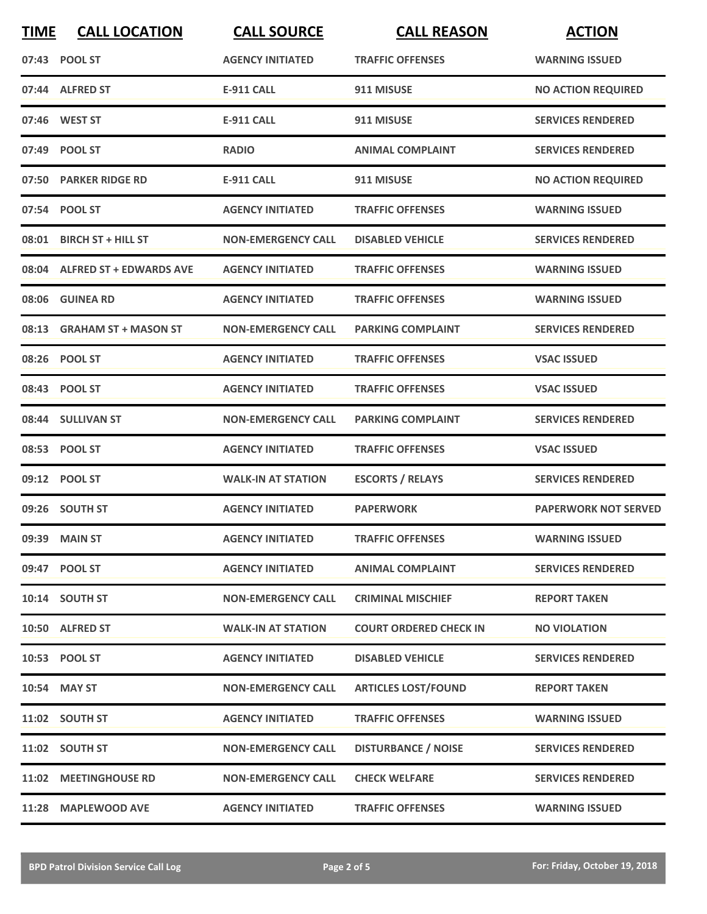| <b>TIME</b> | <b>CALL LOCATION</b>          | <b>CALL SOURCE</b>        | <b>CALL REASON</b>            | <b>ACTION</b>               |
|-------------|-------------------------------|---------------------------|-------------------------------|-----------------------------|
|             | 07:43 POOL ST                 | <b>AGENCY INITIATED</b>   | <b>TRAFFIC OFFENSES</b>       | <b>WARNING ISSUED</b>       |
|             | 07:44 ALFRED ST               | <b>E-911 CALL</b>         | 911 MISUSE                    | <b>NO ACTION REQUIRED</b>   |
|             | 07:46 WEST ST                 | <b>E-911 CALL</b>         | 911 MISUSE                    | <b>SERVICES RENDERED</b>    |
|             | 07:49 POOL ST                 | <b>RADIO</b>              | <b>ANIMAL COMPLAINT</b>       | <b>SERVICES RENDERED</b>    |
|             | 07:50 PARKER RIDGE RD         | <b>E-911 CALL</b>         | 911 MISUSE                    | <b>NO ACTION REQUIRED</b>   |
|             | 07:54 POOL ST                 | <b>AGENCY INITIATED</b>   | <b>TRAFFIC OFFENSES</b>       | <b>WARNING ISSUED</b>       |
| 08:01       | <b>BIRCH ST + HILL ST</b>     | <b>NON-EMERGENCY CALL</b> | <b>DISABLED VEHICLE</b>       | <b>SERVICES RENDERED</b>    |
|             | 08:04 ALFRED ST + EDWARDS AVE | <b>AGENCY INITIATED</b>   | <b>TRAFFIC OFFENSES</b>       | <b>WARNING ISSUED</b>       |
|             | 08:06 GUINEA RD               | <b>AGENCY INITIATED</b>   | <b>TRAFFIC OFFENSES</b>       | <b>WARNING ISSUED</b>       |
|             | 08:13 GRAHAM ST + MASON ST    | <b>NON-EMERGENCY CALL</b> | <b>PARKING COMPLAINT</b>      | <b>SERVICES RENDERED</b>    |
|             | 08:26 POOL ST                 | <b>AGENCY INITIATED</b>   | <b>TRAFFIC OFFENSES</b>       | <b>VSAC ISSUED</b>          |
|             | 08:43 POOL ST                 | <b>AGENCY INITIATED</b>   | <b>TRAFFIC OFFENSES</b>       | <b>VSAC ISSUED</b>          |
|             | 08:44 SULLIVAN ST             | <b>NON-EMERGENCY CALL</b> | <b>PARKING COMPLAINT</b>      | <b>SERVICES RENDERED</b>    |
|             | 08:53 POOL ST                 | <b>AGENCY INITIATED</b>   | <b>TRAFFIC OFFENSES</b>       | <b>VSAC ISSUED</b>          |
|             | 09:12 POOL ST                 | <b>WALK-IN AT STATION</b> | <b>ESCORTS / RELAYS</b>       | <b>SERVICES RENDERED</b>    |
|             | 09:26 SOUTH ST                | <b>AGENCY INITIATED</b>   | <b>PAPERWORK</b>              | <b>PAPERWORK NOT SERVED</b> |
|             | 09:39 MAIN ST                 | <b>AGENCY INITIATED</b>   | <b>TRAFFIC OFFENSES</b>       | <b>WARNING ISSUED</b>       |
|             | 09:47 POOL ST                 | <b>AGENCY INITIATED</b>   | <b>ANIMAL COMPLAINT</b>       | <b>SERVICES RENDERED</b>    |
|             | 10:14 SOUTH ST                | <b>NON-EMERGENCY CALL</b> | <b>CRIMINAL MISCHIEF</b>      | <b>REPORT TAKEN</b>         |
|             | 10:50 ALFRED ST               | <b>WALK-IN AT STATION</b> | <b>COURT ORDERED CHECK IN</b> | <b>NO VIOLATION</b>         |
|             | 10:53 POOL ST                 | <b>AGENCY INITIATED</b>   | <b>DISABLED VEHICLE</b>       | <b>SERVICES RENDERED</b>    |
|             | 10:54 MAY ST                  | <b>NON-EMERGENCY CALL</b> | <b>ARTICLES LOST/FOUND</b>    | <b>REPORT TAKEN</b>         |
|             | 11:02 SOUTH ST                | <b>AGENCY INITIATED</b>   | <b>TRAFFIC OFFENSES</b>       | <b>WARNING ISSUED</b>       |
|             | 11:02 SOUTH ST                | <b>NON-EMERGENCY CALL</b> | <b>DISTURBANCE / NOISE</b>    | <b>SERVICES RENDERED</b>    |
|             | 11:02 MEETINGHOUSE RD         | <b>NON-EMERGENCY CALL</b> | <b>CHECK WELFARE</b>          | <b>SERVICES RENDERED</b>    |
|             | 11:28 MAPLEWOOD AVE           | <b>AGENCY INITIATED</b>   | <b>TRAFFIC OFFENSES</b>       | <b>WARNING ISSUED</b>       |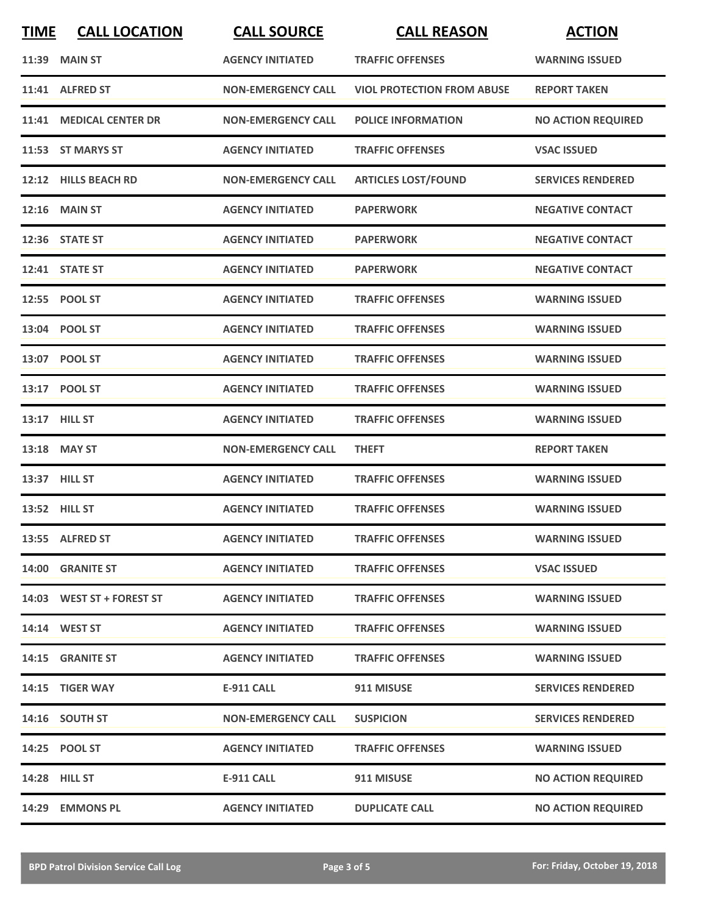| <b>TIME</b> | <b>CALL LOCATION</b>      | <b>CALL SOURCE</b>        | <b>CALL REASON</b>                | <b>ACTION</b>             |
|-------------|---------------------------|---------------------------|-----------------------------------|---------------------------|
|             | <b>11:39 MAIN ST</b>      | <b>AGENCY INITIATED</b>   | <b>TRAFFIC OFFENSES</b>           | <b>WARNING ISSUED</b>     |
|             | 11:41 ALFRED ST           | <b>NON-EMERGENCY CALL</b> | <b>VIOL PROTECTION FROM ABUSE</b> | <b>REPORT TAKEN</b>       |
|             | 11:41 MEDICAL CENTER DR   | <b>NON-EMERGENCY CALL</b> | <b>POLICE INFORMATION</b>         | <b>NO ACTION REQUIRED</b> |
|             | 11:53 ST MARYS ST         | <b>AGENCY INITIATED</b>   | <b>TRAFFIC OFFENSES</b>           | <b>VSAC ISSUED</b>        |
|             | 12:12 HILLS BEACH RD      | <b>NON-EMERGENCY CALL</b> | <b>ARTICLES LOST/FOUND</b>        | <b>SERVICES RENDERED</b>  |
|             | <b>12:16 MAIN ST</b>      | <b>AGENCY INITIATED</b>   | <b>PAPERWORK</b>                  | <b>NEGATIVE CONTACT</b>   |
|             | 12:36 STATE ST            | <b>AGENCY INITIATED</b>   | <b>PAPERWORK</b>                  | <b>NEGATIVE CONTACT</b>   |
|             | 12:41 STATE ST            | <b>AGENCY INITIATED</b>   | <b>PAPERWORK</b>                  | <b>NEGATIVE CONTACT</b>   |
|             | 12:55 POOL ST             | <b>AGENCY INITIATED</b>   | <b>TRAFFIC OFFENSES</b>           | <b>WARNING ISSUED</b>     |
|             | 13:04 POOL ST             | <b>AGENCY INITIATED</b>   | <b>TRAFFIC OFFENSES</b>           | <b>WARNING ISSUED</b>     |
|             | 13:07 POOL ST             | <b>AGENCY INITIATED</b>   | <b>TRAFFIC OFFENSES</b>           | <b>WARNING ISSUED</b>     |
|             | 13:17 POOL ST             | <b>AGENCY INITIATED</b>   | <b>TRAFFIC OFFENSES</b>           | <b>WARNING ISSUED</b>     |
|             | 13:17 HILL ST             | <b>AGENCY INITIATED</b>   | <b>TRAFFIC OFFENSES</b>           | <b>WARNING ISSUED</b>     |
|             | 13:18 MAY ST              | <b>NON-EMERGENCY CALL</b> | <b>THEFT</b>                      | <b>REPORT TAKEN</b>       |
|             | 13:37 HILL ST             | <b>AGENCY INITIATED</b>   | <b>TRAFFIC OFFENSES</b>           | <b>WARNING ISSUED</b>     |
|             | 13:52 HILL ST             | <b>AGENCY INITIATED</b>   | <b>TRAFFIC OFFENSES</b>           | <b>WARNING ISSUED</b>     |
|             | 13:55 ALFRED ST           | <b>AGENCY INITIATED</b>   | <b>TRAFFIC OFFENSES</b>           | <b>WARNING ISSUED</b>     |
|             | 14:00 GRANITE ST          | <b>AGENCY INITIATED</b>   | <b>TRAFFIC OFFENSES</b>           | <b>VSAC ISSUED</b>        |
|             | 14:03 WEST ST + FOREST ST | <b>AGENCY INITIATED</b>   | <b>TRAFFIC OFFENSES</b>           | <b>WARNING ISSUED</b>     |
|             | 14:14 WEST ST             | <b>AGENCY INITIATED</b>   | <b>TRAFFIC OFFENSES</b>           | <b>WARNING ISSUED</b>     |
|             | 14:15 GRANITE ST          | <b>AGENCY INITIATED</b>   | <b>TRAFFIC OFFENSES</b>           | <b>WARNING ISSUED</b>     |
|             | 14:15 TIGER WAY           | <b>E-911 CALL</b>         | 911 MISUSE                        | <b>SERVICES RENDERED</b>  |
|             | 14:16 SOUTH ST            | <b>NON-EMERGENCY CALL</b> | <b>SUSPICION</b>                  | <b>SERVICES RENDERED</b>  |
|             | 14:25 POOL ST             | <b>AGENCY INITIATED</b>   | <b>TRAFFIC OFFENSES</b>           | <b>WARNING ISSUED</b>     |
|             | 14:28 HILL ST             | <b>E-911 CALL</b>         | 911 MISUSE                        | <b>NO ACTION REQUIRED</b> |
|             | 14:29 EMMONS PL           | <b>AGENCY INITIATED</b>   | <b>DUPLICATE CALL</b>             | <b>NO ACTION REQUIRED</b> |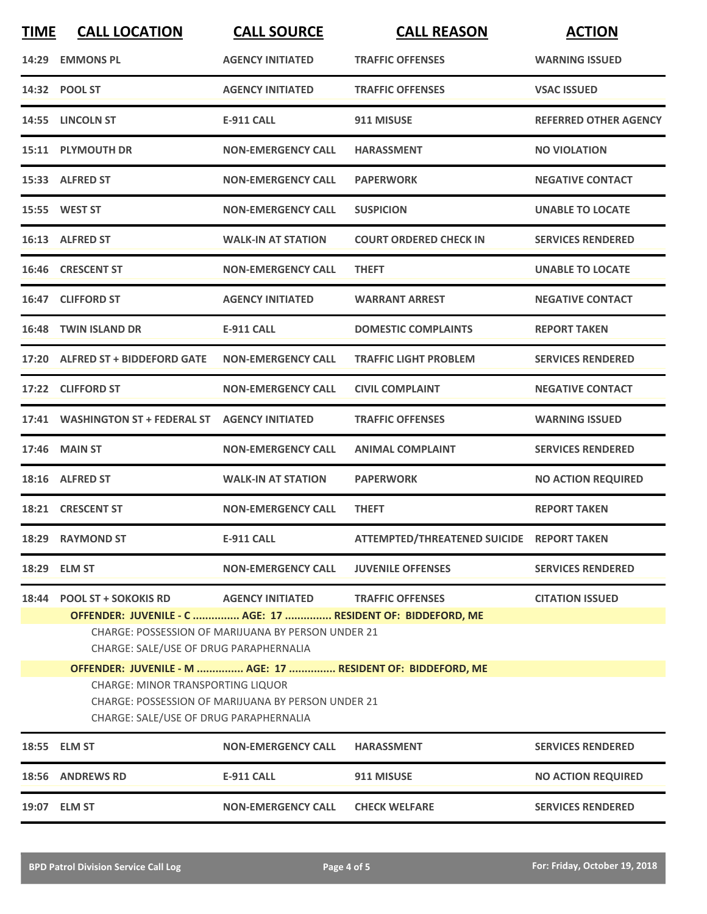| <b>TIME</b> | <b>CALL LOCATION</b>                                                                                                                                                                                                                                                              | <b>CALL SOURCE</b>        | <b>CALL REASON</b>                        | <b>ACTION</b>                |  |
|-------------|-----------------------------------------------------------------------------------------------------------------------------------------------------------------------------------------------------------------------------------------------------------------------------------|---------------------------|-------------------------------------------|------------------------------|--|
|             | 14:29 EMMONS PL                                                                                                                                                                                                                                                                   | <b>AGENCY INITIATED</b>   | <b>TRAFFIC OFFENSES</b>                   | <b>WARNING ISSUED</b>        |  |
|             | 14:32 POOL ST                                                                                                                                                                                                                                                                     | <b>AGENCY INITIATED</b>   | <b>TRAFFIC OFFENSES</b>                   | <b>VSAC ISSUED</b>           |  |
|             | 14:55 LINCOLN ST                                                                                                                                                                                                                                                                  | <b>E-911 CALL</b>         | 911 MISUSE                                | <b>REFERRED OTHER AGENCY</b> |  |
|             | 15:11 PLYMOUTH DR                                                                                                                                                                                                                                                                 | <b>NON-EMERGENCY CALL</b> | <b>HARASSMENT</b>                         | <b>NO VIOLATION</b>          |  |
|             | 15:33 ALFRED ST                                                                                                                                                                                                                                                                   | <b>NON-EMERGENCY CALL</b> | <b>PAPERWORK</b>                          | <b>NEGATIVE CONTACT</b>      |  |
|             | 15:55 WEST ST                                                                                                                                                                                                                                                                     | <b>NON-EMERGENCY CALL</b> | <b>SUSPICION</b>                          | <b>UNABLE TO LOCATE</b>      |  |
|             | 16:13 ALFRED ST                                                                                                                                                                                                                                                                   | <b>WALK-IN AT STATION</b> | <b>COURT ORDERED CHECK IN</b>             | <b>SERVICES RENDERED</b>     |  |
|             | 16:46 CRESCENT ST                                                                                                                                                                                                                                                                 | <b>NON-EMERGENCY CALL</b> | <b>THEFT</b>                              | <b>UNABLE TO LOCATE</b>      |  |
|             | 16:47 CLIFFORD ST                                                                                                                                                                                                                                                                 | <b>AGENCY INITIATED</b>   | <b>WARRANT ARREST</b>                     | <b>NEGATIVE CONTACT</b>      |  |
|             | 16:48 TWIN ISLAND DR                                                                                                                                                                                                                                                              | E-911 CALL                | <b>DOMESTIC COMPLAINTS</b>                | <b>REPORT TAKEN</b>          |  |
|             | 17:20 ALFRED ST + BIDDEFORD GATE                                                                                                                                                                                                                                                  | <b>NON-EMERGENCY CALL</b> | <b>TRAFFIC LIGHT PROBLEM</b>              | <b>SERVICES RENDERED</b>     |  |
|             | 17:22 CLIFFORD ST                                                                                                                                                                                                                                                                 | <b>NON-EMERGENCY CALL</b> | <b>CIVIL COMPLAINT</b>                    | <b>NEGATIVE CONTACT</b>      |  |
|             | 17:41 WASHINGTON ST + FEDERAL ST                                                                                                                                                                                                                                                  | <b>AGENCY INITIATED</b>   | <b>TRAFFIC OFFENSES</b>                   | <b>WARNING ISSUED</b>        |  |
| 17:46       | <b>MAIN ST</b>                                                                                                                                                                                                                                                                    | <b>NON-EMERGENCY CALL</b> | <b>ANIMAL COMPLAINT</b>                   | <b>SERVICES RENDERED</b>     |  |
|             | 18:16 ALFRED ST                                                                                                                                                                                                                                                                   | <b>WALK-IN AT STATION</b> | <b>PAPERWORK</b>                          | <b>NO ACTION REQUIRED</b>    |  |
|             | 18:21 CRESCENT ST                                                                                                                                                                                                                                                                 | <b>NON-EMERGENCY CALL</b> | <b>THEFT</b>                              | <b>REPORT TAKEN</b>          |  |
|             | 18:29 RAYMOND ST                                                                                                                                                                                                                                                                  | <b>E-911 CALL</b>         | ATTEMPTED/THREATENED SUICIDE REPORT TAKEN |                              |  |
|             | 18:29 ELM ST                                                                                                                                                                                                                                                                      | <b>NON-EMERGENCY CALL</b> | <b>JUVENILE OFFENSES</b>                  | <b>SERVICES RENDERED</b>     |  |
| 18:44       | <b>POOL ST + SOKOKIS RD</b><br><b>AGENCY INITIATED</b><br><b>TRAFFIC OFFENSES</b><br><b>CITATION ISSUED</b><br>OFFENDER: JUVENILE - C  AGE: 17  RESIDENT OF: BIDDEFORD, ME<br><b>CHARGE: POSSESSION OF MARIJUANA BY PERSON UNDER 21</b><br>CHARGE: SALE/USE OF DRUG PARAPHERNALIA |                           |                                           |                              |  |
|             | OFFENDER: JUVENILE - M  AGE: 17  RESIDENT OF: BIDDEFORD, ME<br>CHARGE: MINOR TRANSPORTING LIQUOR<br>CHARGE: POSSESSION OF MARIJUANA BY PERSON UNDER 21<br>CHARGE: SALE/USE OF DRUG PARAPHERNALIA                                                                                  |                           |                                           |                              |  |
|             | 18:55 ELM ST                                                                                                                                                                                                                                                                      | <b>NON-EMERGENCY CALL</b> | <b>HARASSMENT</b>                         | <b>SERVICES RENDERED</b>     |  |
|             | 18:56 ANDREWS RD                                                                                                                                                                                                                                                                  | <b>E-911 CALL</b>         | 911 MISUSE                                | <b>NO ACTION REQUIRED</b>    |  |
|             | 19:07 ELM ST                                                                                                                                                                                                                                                                      | <b>NON-EMERGENCY CALL</b> | <b>CHECK WELFARE</b>                      | <b>SERVICES RENDERED</b>     |  |